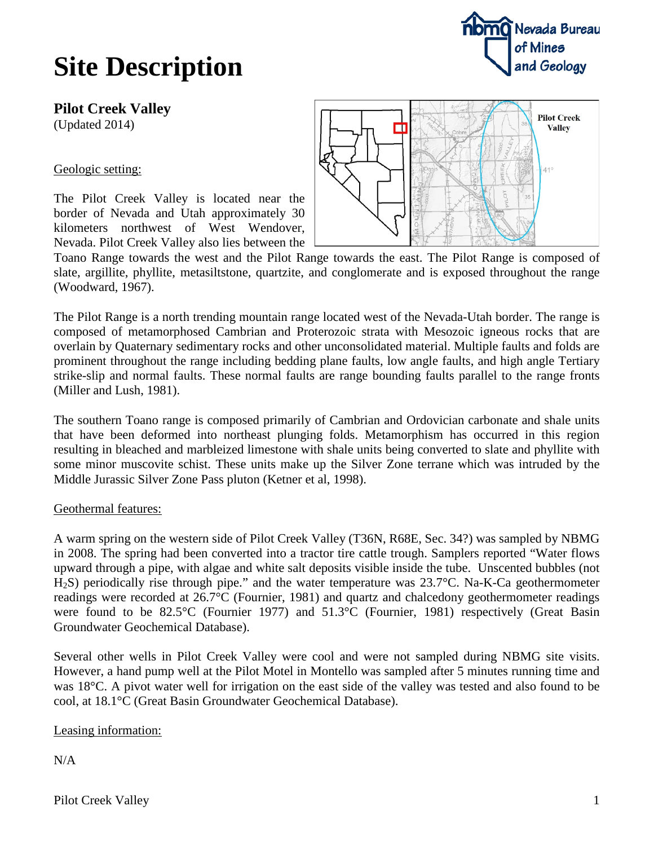## **Site Description**



Geologic setting:

The Pilot Creek Valley is located near the border of Nevada and Utah approximately 30 kilometers northwest of West Wendover, Nevada. Pilot Creek Valley also lies between the



Toano Range towards the west and the Pilot Range towards the east. The Pilot Range is composed of slate, argillite, phyllite, metasiltstone, quartzite, and conglomerate and is exposed throughout the range (Woodward, 1967).

The Pilot Range is a north trending mountain range located west of the Nevada-Utah border. The range is composed of metamorphosed Cambrian and Proterozoic strata with Mesozoic igneous rocks that are overlain by Quaternary sedimentary rocks and other unconsolidated material. Multiple faults and folds are prominent throughout the range including bedding plane faults, low angle faults, and high angle Tertiary strike-slip and normal faults. These normal faults are range bounding faults parallel to the range fronts (Miller and Lush, 1981).

The southern Toano range is composed primarily of Cambrian and Ordovician carbonate and shale units that have been deformed into northeast plunging folds. Metamorphism has occurred in this region resulting in bleached and marbleized limestone with shale units being converted to slate and phyllite with some minor muscovite schist. These units make up the Silver Zone terrane which was intruded by the Middle Jurassic Silver Zone Pass pluton (Ketner et al, 1998).

## Geothermal features:

A warm spring on the western side of Pilot Creek Valley (T36N, R68E, Sec. 34?) was sampled by NBMG in 2008. The spring had been converted into a tractor tire cattle trough. Samplers reported "Water flows upward through a pipe, with algae and white salt deposits visible inside the tube. Unscented bubbles (not H2S) periodically rise through pipe." and the water temperature was 23.7°C. Na-K-Ca geothermometer readings were recorded at 26.7°C (Fournier, 1981) and quartz and chalcedony geothermometer readings were found to be 82.5°C (Fournier 1977) and 51.3°C (Fournier, 1981) respectively (Great Basin Groundwater Geochemical Database).

Several other wells in Pilot Creek Valley were cool and were not sampled during NBMG site visits. However, a hand pump well at the Pilot Motel in Montello was sampled after 5 minutes running time and was 18°C. A pivot water well for irrigation on the east side of the valley was tested and also found to be cool, at 18.1°C (Great Basin Groundwater Geochemical Database).

Leasing information:

 $N/A$